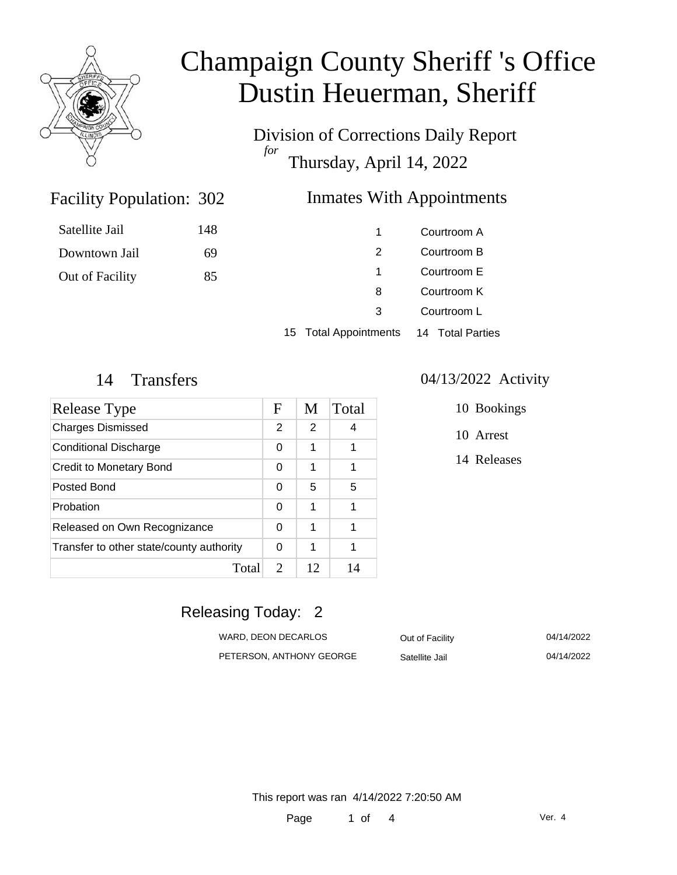

# Champaign County Sheriff 's Office Dustin Heuerman, Sheriff

Division of Corrections Daily Report *for* Thursday, April 14, 2022

### Inmates With Appointments

| Satellite Jail  | 148 |   | Courtroom A |
|-----------------|-----|---|-------------|
| Downtown Jail   | 69  |   | Courtroom B |
| Out of Facility | 85  |   | Courtroom E |
|                 |     | 8 | Courtroom K |
|                 |     | 3 | Courtroom L |
|                 |     |   |             |

15 Total Appointments 14 Total Parties

Facility Population: 302

| Release Type                             | F                           | M  | Total |
|------------------------------------------|-----------------------------|----|-------|
| <b>Charges Dismissed</b>                 | 2                           | 2  | 4     |
| <b>Conditional Discharge</b>             | $\Omega$                    | 1  | 1     |
| <b>Credit to Monetary Bond</b>           | 0                           | 1  | 1     |
| Posted Bond                              | 0                           | 5  | 5     |
| Probation                                | 0                           | 1  | 1     |
| Released on Own Recognizance             | 0                           | 1  | 1     |
| Transfer to other state/county authority | $\Omega$                    | 1  | 1     |
| Total                                    | $\mathcal{D}_{\mathcal{L}}$ | 12 | 14    |

#### 14 Transfers 04/13/2022 Activity

- 10 Bookings
- 10 Arrest
- 14 Releases

### Releasing Today: 2

| WARD. DEON DECARLOS      | Out of Facility | 04/14/2022 |
|--------------------------|-----------------|------------|
| PETERSON. ANTHONY GEORGE | Satellite Jail  | 04/14/2022 |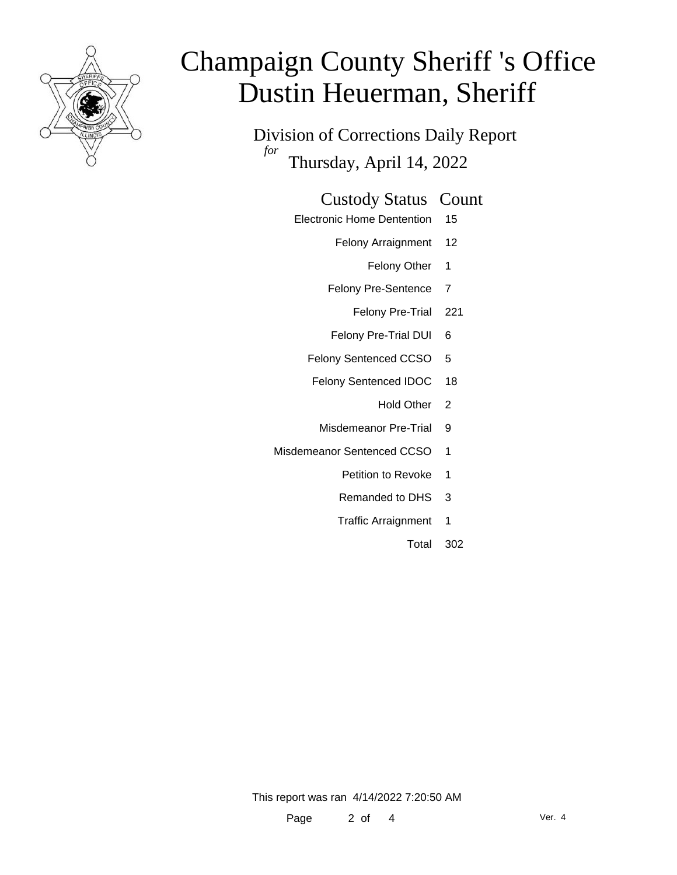

# Champaign County Sheriff 's Office Dustin Heuerman, Sheriff

Division of Corrections Daily Report *for* Thursday, April 14, 2022

#### Custody Status Count

- Electronic Home Dentention 15
	- Felony Arraignment 12
		- Felony Other 1
	- Felony Pre-Sentence 7
		- Felony Pre-Trial 221
	- Felony Pre-Trial DUI 6
	- Felony Sentenced CCSO 5
	- Felony Sentenced IDOC 18
		- Hold Other 2
		- Misdemeanor Pre-Trial 9
- Misdemeanor Sentenced CCSO 1
	- Petition to Revoke 1
	- Remanded to DHS 3
	- Traffic Arraignment 1
		- Total 302

This report was ran 4/14/2022 7:20:50 AM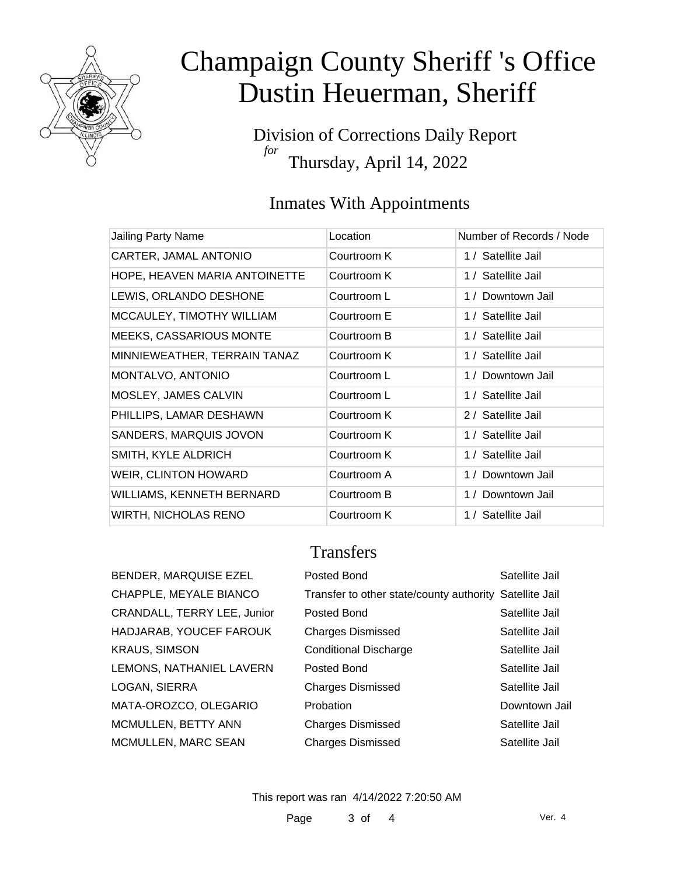

# Champaign County Sheriff 's Office Dustin Heuerman, Sheriff

Division of Corrections Daily Report *for* Thursday, April 14, 2022

### Inmates With Appointments

| Jailing Party Name             | Location    | Number of Records / Node |
|--------------------------------|-------------|--------------------------|
| CARTER, JAMAL ANTONIO          | Courtroom K | 1 / Satellite Jail       |
| HOPE, HEAVEN MARIA ANTOINETTE  | Courtroom K | 1 / Satellite Jail       |
| LEWIS, ORLANDO DESHONE         | Courtroom L | 1 / Downtown Jail        |
| MCCAULEY, TIMOTHY WILLIAM      | Courtroom E | 1 / Satellite Jail       |
| <b>MEEKS, CASSARIOUS MONTE</b> | Courtroom B | 1 / Satellite Jail       |
| MINNIEWEATHER, TERRAIN TANAZ   | Courtroom K | 1 / Satellite Jail       |
| MONTALVO, ANTONIO              | Courtroom L | 1 / Downtown Jail        |
| MOSLEY, JAMES CALVIN           | Courtroom L | 1 / Satellite Jail       |
| PHILLIPS, LAMAR DESHAWN        | Courtroom K | 2 / Satellite Jail       |
| SANDERS, MARQUIS JOVON         | Courtroom K | 1 / Satellite Jail       |
| SMITH, KYLE ALDRICH            | Courtroom K | 1 / Satellite Jail       |
| WEIR, CLINTON HOWARD           | Courtroom A | 1 / Downtown Jail        |
| WILLIAMS, KENNETH BERNARD      | Courtroom B | 1 / Downtown Jail        |
| <b>WIRTH, NICHOLAS RENO</b>    | Courtroom K | 1 / Satellite Jail       |

### **Transfers**

| <b>BENDER, MARQUISE EZEL</b>       |
|------------------------------------|
| CHAPPLE, MEYALE BIANCO             |
| <b>CRANDALL, TERRY LEE, Junior</b> |
| HADJARAB, YOUCEF FAROUK            |
| <b>KRAUS, SIMSON</b>               |
| LEMONS, NATHANIEL LAVERN           |
| LOGAN, SIERRA                      |
| MATA-OROZCO, OLEGARIO              |
| MCMULLEN, BETTY ANN                |
| <b>MCMULLEN, MARC SEAN</b>         |
|                                    |

| BENDER, MARQUISE EZEL       | Posted Bond                                             | Satellite Jail |
|-----------------------------|---------------------------------------------------------|----------------|
| CHAPPLE, MEYALE BIANCO      | Transfer to other state/county authority Satellite Jail |                |
| CRANDALL, TERRY LEE, Junior | Posted Bond                                             | Satellite Jail |
| HADJARAB, YOUCEF FAROUK     | <b>Charges Dismissed</b>                                | Satellite Jail |
| <b>KRAUS, SIMSON</b>        | <b>Conditional Discharge</b>                            | Satellite Jail |
| LEMONS, NATHANIEL LAVERN    | Posted Bond                                             | Satellite Jail |
| LOGAN, SIERRA               | <b>Charges Dismissed</b>                                | Satellite Jail |
| MATA-OROZCO, OLEGARIO       | Probation                                               | Downtown Jail  |
| MCMULLEN, BETTY ANN         | <b>Charges Dismissed</b>                                | Satellite Jail |
| MCMULLEN, MARC SEAN         | <b>Charges Dismissed</b>                                | Satellite Jail |

This report was ran 4/14/2022 7:20:50 AM